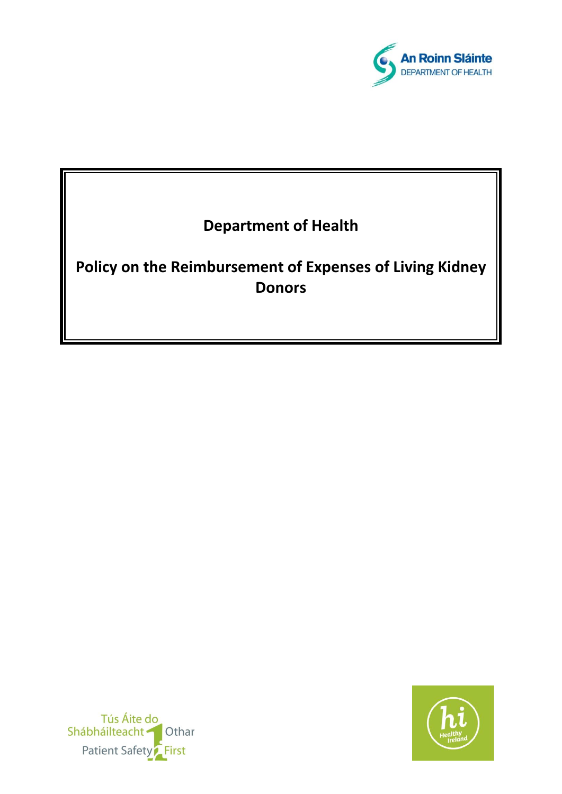

# **Department of Health**

**Policy on the Reimbursement of Expenses of Living Kidney Donors**



Tús Áite do Shábháilteacht **Othar** Patient Safety<sup>2</sup> First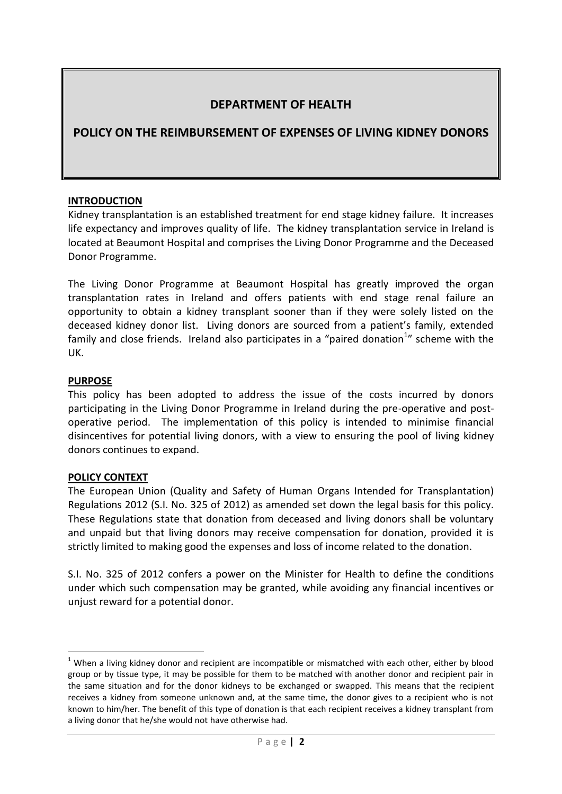# **DEPARTMENT OF HEALTH**

# **POLICY ON THE REIMBURSEMENT OF EXPENSES OF LIVING KIDNEY DONORS**

#### **INTRODUCTION**

Kidney transplantation is an established treatment for end stage kidney failure. It increases life expectancy and improves quality of life. The kidney transplantation service in Ireland is located at Beaumont Hospital and comprises the Living Donor Programme and the Deceased Donor Programme.

The Living Donor Programme at Beaumont Hospital has greatly improved the organ transplantation rates in Ireland and offers patients with end stage renal failure an opportunity to obtain a kidney transplant sooner than if they were solely listed on the deceased kidney donor list. Living donors are sourced from a patient's family, extended family and close friends. Ireland also participates in a "paired donation<sup>1</sup>" scheme with the UK.

#### **PURPOSE**

This policy has been adopted to address the issue of the costs incurred by donors participating in the Living Donor Programme in Ireland during the pre-operative and postoperative period. The implementation of this policy is intended to minimise financial disincentives for potential living donors, with a view to ensuring the pool of living kidney donors continues to expand.

#### **POLICY CONTEXT**

**.** 

The European Union (Quality and Safety of Human Organs Intended for Transplantation) Regulations 2012 (S.I. No. 325 of 2012) as amended set down the legal basis for this policy. These Regulations state that donation from deceased and living donors shall be voluntary and unpaid but that living donors may receive compensation for donation, provided it is strictly limited to making good the expenses and loss of income related to the donation.

S.I. No. 325 of 2012 confers a power on the Minister for Health to define the conditions under which such compensation may be granted, while avoiding any financial incentives or unjust reward for a potential donor.

 $1$  When a living kidney donor and recipient are incompatible or mismatched with each other, either by blood group or by tissue type, it may be possible for them to be matched with another donor and recipient pair in the same situation and for the donor kidneys to be exchanged or swapped. This means that the recipient receives a kidney from someone unknown and, at the same time, the donor gives to a recipient who is not known to him/her. The benefit of this type of donation is that each recipient receives a kidney transplant from a living donor that he/she would not have otherwise had.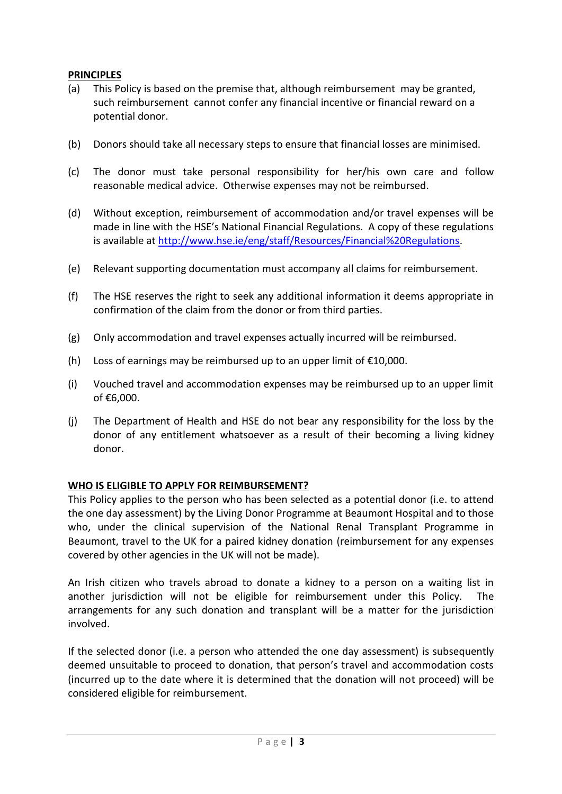# **PRINCIPLES**

- (a) This Policy is based on the premise that, although reimbursement may be granted, such reimbursement cannot confer any financial incentive or financial reward on a potential donor.
- (b) Donors should take all necessary steps to ensure that financial losses are minimised.
- (c) The donor must take personal responsibility for her/his own care and follow reasonable medical advice. Otherwise expenses may not be reimbursed.
- (d) Without exception, reimbursement of accommodation and/or travel expenses will be made in line with the HSE's National Financial Regulations. A copy of these regulations is available at [http://www.hse.ie/eng/staff/Resources/Financial%20Regulations.](http://www.hse.ie/eng/staff/Resources/Financial%20Regulations)
- (e) Relevant supporting documentation must accompany all claims for reimbursement.
- (f) The HSE reserves the right to seek any additional information it deems appropriate in confirmation of the claim from the donor or from third parties.
- (g) Only accommodation and travel expenses actually incurred will be reimbursed.
- (h) Loss of earnings may be reimbursed up to an upper limit of  $£10,000$ .
- (i) Vouched travel and accommodation expenses may be reimbursed up to an upper limit of €6,000.
- (j) The Department of Health and HSE do not bear any responsibility for the loss by the donor of any entitlement whatsoever as a result of their becoming a living kidney donor.

#### **WHO IS ELIGIBLE TO APPLY FOR REIMBURSEMENT?**

This Policy applies to the person who has been selected as a potential donor (i.e. to attend the one day assessment) by the Living Donor Programme at Beaumont Hospital and to those who, under the clinical supervision of the National Renal Transplant Programme in Beaumont, travel to the UK for a paired kidney donation (reimbursement for any expenses covered by other agencies in the UK will not be made).

An Irish citizen who travels abroad to donate a kidney to a person on a waiting list in another jurisdiction will not be eligible for reimbursement under this Policy. The arrangements for any such donation and transplant will be a matter for the jurisdiction involved.

If the selected donor (i.e. a person who attended the one day assessment) is subsequently deemed unsuitable to proceed to donation, that person's travel and accommodation costs (incurred up to the date where it is determined that the donation will not proceed) will be considered eligible for reimbursement.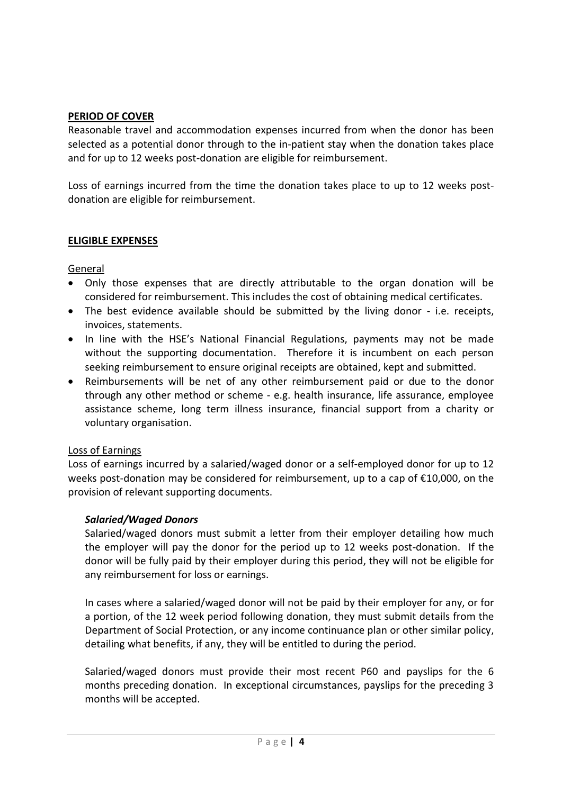## **PERIOD OF COVER**

Reasonable travel and accommodation expenses incurred from when the donor has been selected as a potential donor through to the in-patient stay when the donation takes place and for up to 12 weeks post-donation are eligible for reimbursement.

Loss of earnings incurred from the time the donation takes place to up to 12 weeks postdonation are eligible for reimbursement.

#### **ELIGIBLE EXPENSES**

## General

- Only those expenses that are directly attributable to the organ donation will be considered for reimbursement. This includes the cost of obtaining medical certificates.
- The best evidence available should be submitted by the living donor i.e. receipts, invoices, statements.
- In line with the HSE's National Financial Regulations, payments may not be made without the supporting documentation. Therefore it is incumbent on each person seeking reimbursement to ensure original receipts are obtained, kept and submitted.
- Reimbursements will be net of any other reimbursement paid or due to the donor through any other method or scheme - e.g. health insurance, life assurance, employee assistance scheme, long term illness insurance, financial support from a charity or voluntary organisation.

#### Loss of Earnings

Loss of earnings incurred by a salaried/waged donor or a self-employed donor for up to 12 weeks post-donation may be considered for reimbursement, up to a cap of €10,000, on the provision of relevant supporting documents.

# *Salaried/Waged Donors*

Salaried/waged donors must submit a letter from their employer detailing how much the employer will pay the donor for the period up to 12 weeks post-donation. If the donor will be fully paid by their employer during this period, they will not be eligible for any reimbursement for loss or earnings.

In cases where a salaried/waged donor will not be paid by their employer for any, or for a portion, of the 12 week period following donation, they must submit details from the Department of Social Protection, or any income continuance plan or other similar policy, detailing what benefits, if any, they will be entitled to during the period.

Salaried/waged donors must provide their most recent P60 and payslips for the 6 months preceding donation. In exceptional circumstances, payslips for the preceding 3 months will be accepted.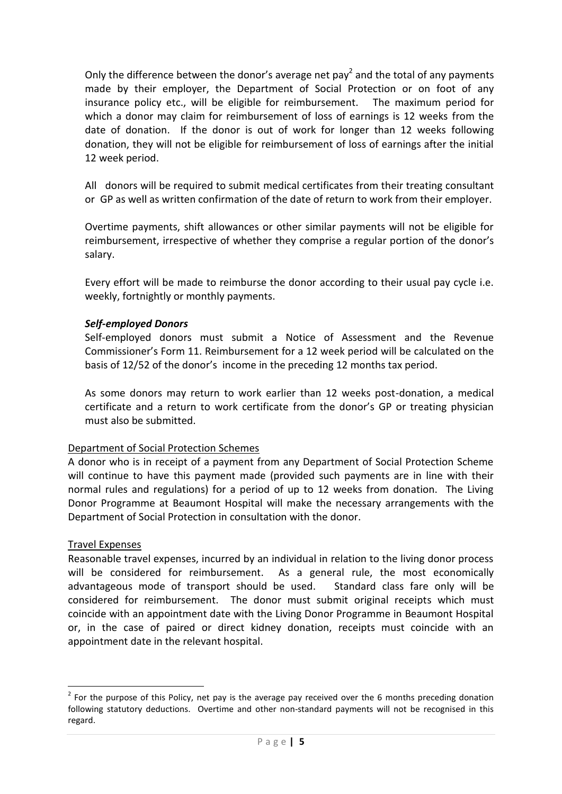Only the difference between the donor's average net pay<sup>2</sup> and the total of any payments made by their employer, the Department of Social Protection or on foot of any insurance policy etc., will be eligible for reimbursement. The maximum period for which a donor may claim for reimbursement of loss of earnings is 12 weeks from the date of donation. If the donor is out of work for longer than 12 weeks following donation, they will not be eligible for reimbursement of loss of earnings after the initial 12 week period.

All donors will be required to submit medical certificates from their treating consultant or GP as well as written confirmation of the date of return to work from their employer.

Overtime payments, shift allowances or other similar payments will not be eligible for reimbursement, irrespective of whether they comprise a regular portion of the donor's salary.

Every effort will be made to reimburse the donor according to their usual pay cycle i.e. weekly, fortnightly or monthly payments.

#### *Self-employed Donors*

Self-employed donors must submit a Notice of Assessment and the Revenue Commissioner's Form 11. Reimbursement for a 12 week period will be calculated on the basis of 12/52 of the donor's income in the preceding 12 months tax period.

As some donors may return to work earlier than 12 weeks post-donation, a medical certificate and a return to work certificate from the donor's GP or treating physician must also be submitted.

#### Department of Social Protection Schemes

A donor who is in receipt of a payment from any Department of Social Protection Scheme will continue to have this payment made (provided such payments are in line with their normal rules and regulations) for a period of up to 12 weeks from donation. The Living Donor Programme at Beaumont Hospital will make the necessary arrangements with the Department of Social Protection in consultation with the donor.

#### Travel Expenses

**.** 

Reasonable travel expenses, incurred by an individual in relation to the living donor process will be considered for reimbursement. As a general rule, the most economically advantageous mode of transport should be used. Standard class fare only will be considered for reimbursement. The donor must submit original receipts which must coincide with an appointment date with the Living Donor Programme in Beaumont Hospital or, in the case of paired or direct kidney donation, receipts must coincide with an appointment date in the relevant hospital.

 $2$  For the purpose of this Policy, net pay is the average pay received over the 6 months preceding donation following statutory deductions. Overtime and other non-standard payments will not be recognised in this regard.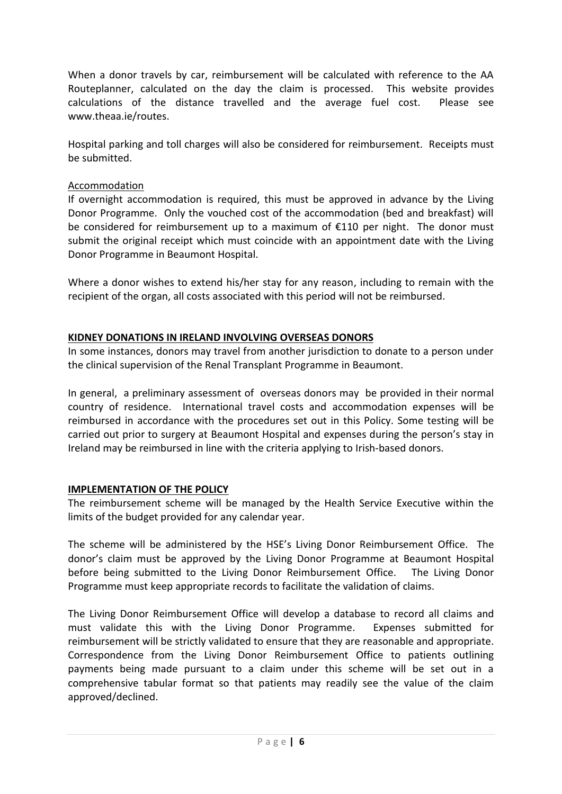When a donor travels by car, reimbursement will be calculated with reference to the AA Routeplanner, calculated on the day the claim is processed. This website provides calculations of the distance travelled and the average fuel cost. Please see www.theaa.ie/routes.

Hospital parking and toll charges will also be considered for reimbursement. Receipts must be submitted.

## Accommodation

If overnight accommodation is required, this must be approved in advance by the Living Donor Programme. Only the vouched cost of the accommodation (bed and breakfast) will be considered for reimbursement up to a maximum of €110 per night. The donor must submit the original receipt which must coincide with an appointment date with the Living Donor Programme in Beaumont Hospital.

Where a donor wishes to extend his/her stay for any reason, including to remain with the recipient of the organ, all costs associated with this period will not be reimbursed.

#### **KIDNEY DONATIONS IN IRELAND INVOLVING OVERSEAS DONORS**

In some instances, donors may travel from another jurisdiction to donate to a person under the clinical supervision of the Renal Transplant Programme in Beaumont.

In general, a preliminary assessment of overseas donors may be provided in their normal country of residence. International travel costs and accommodation expenses will be reimbursed in accordance with the procedures set out in this Policy. Some testing will be carried out prior to surgery at Beaumont Hospital and expenses during the person's stay in Ireland may be reimbursed in line with the criteria applying to Irish-based donors.

#### **IMPLEMENTATION OF THE POLICY**

The reimbursement scheme will be managed by the Health Service Executive within the limits of the budget provided for any calendar year.

The scheme will be administered by the HSE's Living Donor Reimbursement Office. The donor's claim must be approved by the Living Donor Programme at Beaumont Hospital before being submitted to the Living Donor Reimbursement Office. The Living Donor Programme must keep appropriate records to facilitate the validation of claims.

The Living Donor Reimbursement Office will develop a database to record all claims and must validate this with the Living Donor Programme. Expenses submitted for reimbursement will be strictly validated to ensure that they are reasonable and appropriate. Correspondence from the Living Donor Reimbursement Office to patients outlining payments being made pursuant to a claim under this scheme will be set out in a comprehensive tabular format so that patients may readily see the value of the claim approved/declined.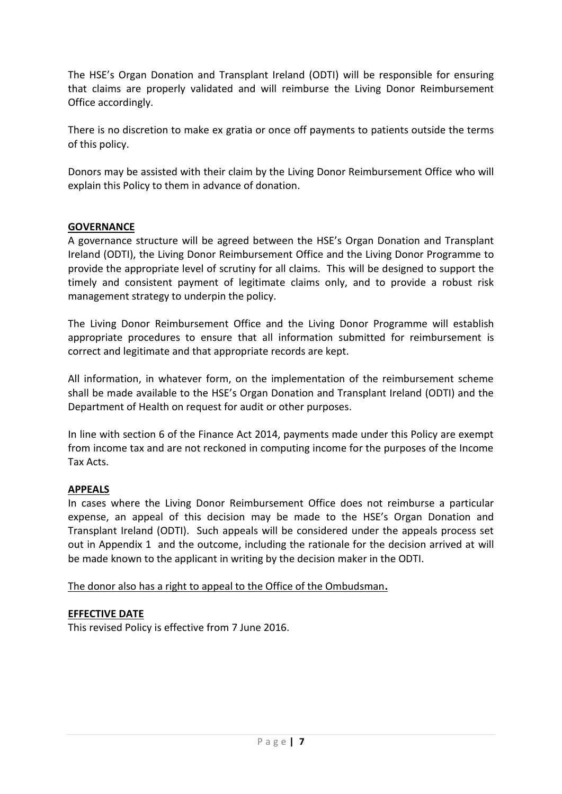The HSE's Organ Donation and Transplant Ireland (ODTI) will be responsible for ensuring that claims are properly validated and will reimburse the Living Donor Reimbursement Office accordingly.

There is no discretion to make ex gratia or once off payments to patients outside the terms of this policy.

Donors may be assisted with their claim by the Living Donor Reimbursement Office who will explain this Policy to them in advance of donation.

# **GOVERNANCE**

A governance structure will be agreed between the HSE's Organ Donation and Transplant Ireland (ODTI), the Living Donor Reimbursement Office and the Living Donor Programme to provide the appropriate level of scrutiny for all claims. This will be designed to support the timely and consistent payment of legitimate claims only, and to provide a robust risk management strategy to underpin the policy.

The Living Donor Reimbursement Office and the Living Donor Programme will establish appropriate procedures to ensure that all information submitted for reimbursement is correct and legitimate and that appropriate records are kept.

All information, in whatever form, on the implementation of the reimbursement scheme shall be made available to the HSE's Organ Donation and Transplant Ireland (ODTI) and the Department of Health on request for audit or other purposes.

In line with section 6 of the Finance Act 2014, payments made under this Policy are exempt from income tax and are not reckoned in computing income for the purposes of the Income Tax Acts.

# **APPEALS**

In cases where the Living Donor Reimbursement Office does not reimburse a particular expense, an appeal of this decision may be made to the HSE's Organ Donation and Transplant Ireland (ODTI). Such appeals will be considered under the appeals process set out in Appendix 1 and the outcome, including the rationale for the decision arrived at will be made known to the applicant in writing by the decision maker in the ODTI.

The donor also has a right to appeal to the Office of the Ombudsman**.**

# **EFFECTIVE DATE**

This revised Policy is effective from 7 June 2016.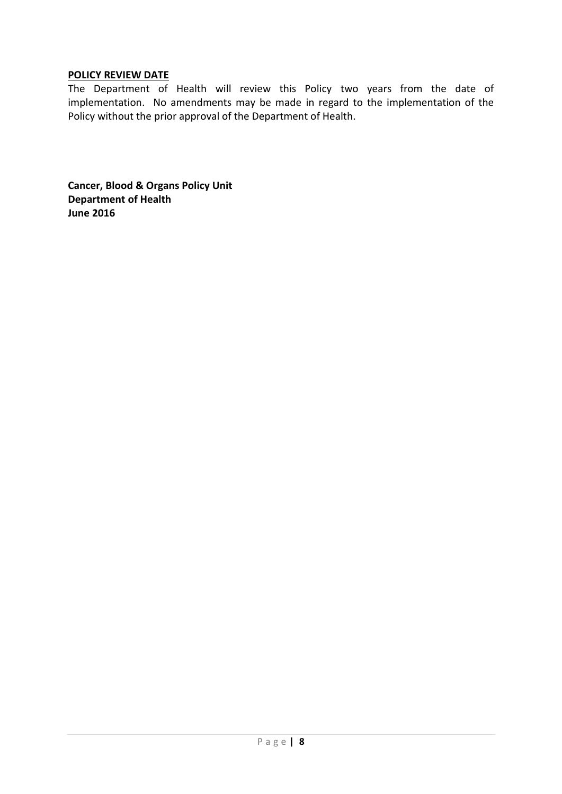## **POLICY REVIEW DATE**

The Department of Health will review this Policy two years from the date of implementation. No amendments may be made in regard to the implementation of the Policy without the prior approval of the Department of Health.

**Cancer, Blood & Organs Policy Unit Department of Health June 2016**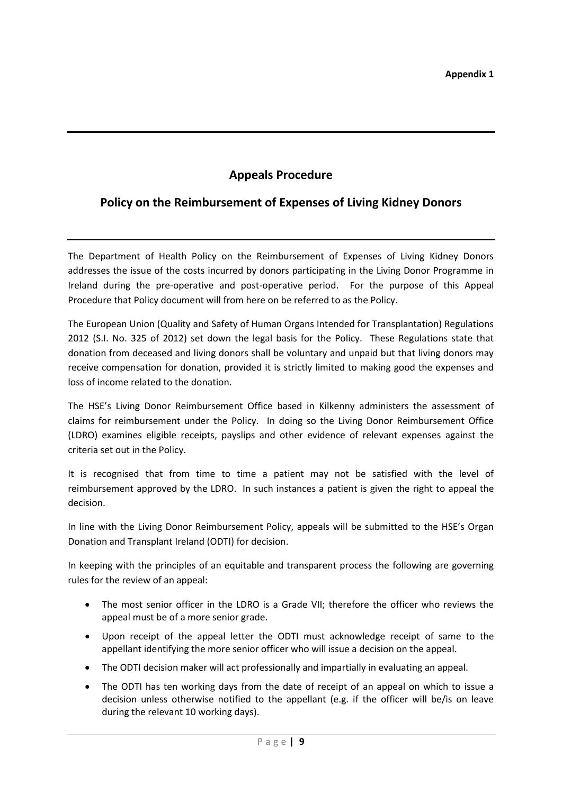# **Appeals Procedure**

# **Policy on the Reimbursement of Expenses of Living Kidney Donors**

The Department of Health Policy on the Reimbursement of Expenses of Living Kidney Donors addresses the issue of the costs incurred by donors participating in the Living Donor Programme in Ireland during the pre-operative and post-operative period. For the purpose of this Appeal Procedure that Policy document will from here on be referred to as the Policy.

The European Union (Quality and Safety of Human Organs Intended for Transplantation) Regulations 2012 (S.I. No. 325 of 2012) set down the legal basis for the Policy. These Regulations state that donation from deceased and living donors shall be voluntary and unpaid but that living donors may receive compensation for donation, provided it is strictly limited to making good the expenses and loss of income related to the donation.

The HSE's Living Donor Reimbursement Office based in Kilkenny administers the assessment of claims for reimbursement under the Policy. In doing so the Living Donor Reimbursement Office (LDRO) examines eligible receipts, payslips and other evidence of relevant expenses against the criteria set out in the Policy.

It is recognised that from time to time a patient may not be satisfied with the level of reimbursement approved by the LDRO. In such instances a patient is given the right to appeal the decision.

In line with the Living Donor Reimbursement Policy, appeals will be submitted to the HSE's Organ Donation and Transplant Ireland (ODTI) for decision.

In keeping with the principles of an equitable and transparent process the following are governing rules for the review of an appeal:

- The most senior officer in the LDRO is a Grade VII; therefore the officer who reviews the appeal must be of a more senior grade.
- Upon receipt of the appeal letter the ODTI must acknowledge receipt of same to the appellant identifying the more senior officer who will issue a decision on the appeal.
- The ODTI decision maker will act professionally and impartially in evaluating an appeal.
- The ODTI has ten working days from the date of receipt of an appeal on which to issue a decision unless otherwise notified to the appellant (e.g. if the officer will be/is on leave during the relevant 10 working days).